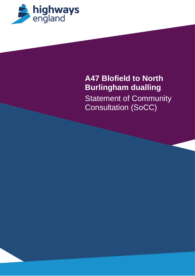

# **A47 Blofield to North Burlingham dualling Statement of Community** Consultation (SoCC)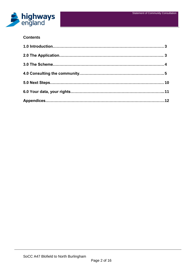

## **Contents**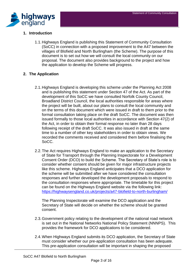

# **1. Introduction**

1.1.Highways England is publishing this Statement of Community Consultation (SoCC) in connection with a proposed improvement to the A47 between the villages of Blofield and North Burlingham (the Scheme). The purpose of this document is to set out how we will consult the local community on our proposal. The document also provides background to the project and how the application to develop the Scheme will progress.

# **2. The Application**

- 2.1.Highways England is developing this scheme under the Planning Act 2008 and is publishing this statement under Section 47 of the Act. As part of the development of this SoCC we have consulted Norfolk County Council, Broadland District Council, the local authorities responsible for areas where the project will be built, about our plans to consult the local community and on the terms of this document which were issued in draft to them prior to the formal consultation taking place on the draft SoCC. The document was then issued formally to those local authorities in accordance with Section 47(2) of the Act, in order to obtain their formal response no later than 28 days following receipt of the draft SoCC. It was also issued in draft at the same time to a number of other key stakeholders in order to obtain views. We recorded the comments received and considered them before finalising the SoCC.
- 2.2.The Act requires Highways England to make an application to the Secretary of State for Transport through the Planning Inspectorate for a Development Consent Order (DCO) to build the Scheme. The Secretary of State's role is to consider whether consent should be given for major infrastructure projects like this scheme. Highways England anticipates that a DCO application for the scheme will be submitted after we have considered the consultation responses and further developed the development proposals to respond to the consultation responses where appropriate. The timetable for this project can be found on the Highways England website via the following link: https://highwaysengland.co.uk/projects/a47-blofield-to-north-burlingham/

The Planning Inspectorate will examine the DCO application and the Secretary of State will decide on whether the scheme should be granted consent.

- 2.3.Government policy relating to the development of the national road network is set out in the National Networks National Policy Statement (NNNPS). This provides the framework for DCO applications to be considered.
- 2.4.When Highways England submits its DCO application, the Secretary of State must consider whether our pre-application consultation has been adequate. This pre-application consultation will be important in shaping the proposed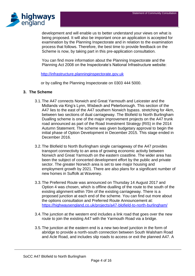

development and will enable us to better understand your views on what is being proposed. It will also be important once an application is accepted for examination by the Planning Inspectorate and in relation to the examination process that follows. Therefore, the best time to provide feedback on the Scheme is now, by taking part in this pre-application consultation.

You can find more information about the Planning Inspectorate and the Planning Act 2008 on the Inspectorate's National Infrastructure website:

[http://infrastructure.planninginspectorate.gov.uk](http://infrastructure.planninginspectorate.gov.uk/)

or by calling the Planning Inspectorate on 0303 444 5000.

#### **3. The Scheme**

- 3.1.The A47 connects Norwich and Great Yarmouth and Leicester and the Midlands via King's Lynn, Wisbech and Peterborough. This section of the A47 lies to the east of the A47 southern Norwich bypass. stretching for 4km, between two sections of dual carriageway. The Blofield to North Burlingham Dualling scheme is one of the major improvement projects on the A47 trunk road announced as part of the Road Investment Strategy (RIS) in the 2014 Autumn Statement. The scheme was given budgetary approval to begin the initial phase of Option Development in December 2015. This stage ended in December 2016.
- 3.2.The Blofield to North Burlingham single carriageway of the A47 provides transport connectivity to an area of growing economic activity between Norwich and Great Yarmouth on the eastern coastline. The wider area has been the subject of concerted development effort by the public and private sector. The greater Norwich area is set to see major housing and employment growth by 2021. There are also plans for a significant number of new homes in Suffolk at Waveney.
- 3.3.The Preferred Route was announced on Thursday 14 August 2017 and Option 4 was chosen, which is offline dualling of the route to the south of the existing alignment within 70m of the existing carriageway. There is a proposed junction at each end of the scheme. You can find out more about the options consultation and Preferred Route Announcement at: <https://highwaysengland.co.uk/projects/a47-blofield-to-north-burlingham/>
- 3.4.The junction at the western end includes a link road that goes over the new route to join the existing A47 with the Yarmouth Road via a bridge.
- 3.5.The junction at the eastern end is a new two-level junction in the form of abridge to provide a north-south connection between South Walsham Road and Acle Road, and includes slip roads to access or exit the planned A47. A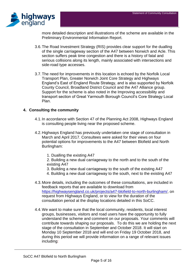

more detailed description and illustrations of the scheme are available in the Preliminary Environmental Information Report.

- 3.6.The Road Investment Strategy (RIS) provides clear support for the dualling of the single carriageway section of the A47 between Norwich and Acle. This section suffers peak time congestion and there is a history of fatal and serious collisions along its length, mainly associated with intersections and side-road type accesses.
- 3.7.The need for improvements in this location is echoed by the Norfolk Local Transport Plan, Greater Norwich Joint Core Strategy and Highways England's East of England Route Strategy, and is also supported by Norfolk County Council, Broadland District Council and the A47 Alliance group. Support for the scheme is also noted in the Improving accessibility and transport section of Great Yarmouth Borough Council's Core Strategy Local Plan.

# **4. Consulting the community**

- 4.1.In accordance with Section 47 of the Planning Act 2008, Highways England is consulting people living near the proposed scheme.
- 4.2.Highways England has previously undertaken one stage of consultation in March and April 2017. Consultees were asked for their views on four potential options for improvements to the A47 between Blofield and North Burlingham:
	- 1. Dualling the existing A47
	- 2. Building a new dual carriageway to the north and to the south of the existing A47
	- 3. Building a new dual carriageway to the south of the existing A47
	- 4. Building a new dual carriageway to the south, next to the existing A47
- 4.3.More details, including the outcomes of these consultations, are included in feedback reports that are available to download from https://highwaysengland.co.uk/projects/a47-blofield-to-north-burlingham/, on request from Highways England, or to view for the duration of the consultation period at the display locations detailed in this SoCC.
- 4.4.We want to make sure that the local community, residents, local interest groups, businesses, visitors and road users have the opportunity to fully understand the scheme and comment on our proposals. Your comments will contribute towards shaping our proposals. To do this we are holding the next stage of the consultation in September and October 2018. It will start on Monday 10 September 2018 and will end on Friday 19 October 2018, and during this period we will provide information on a range of relevant issues including: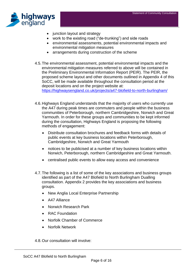

- junction layout and strategy
- work to the existing road ("de-trunking") and side roads
- environmental assessments, potential environmental impacts and environmental mitigation measures
- arrangements during construction of the scheme
- 4.5.The environmental assessment, potential environmental impacts and the environmental mitigation measures referred to above will be contained in the Preliminary Environmental Information Report (PEIR). The PEIR, the proposed scheme layout and other documents outlined in Appendix 4 of this SoCC, will be made available throughout the consultation period at the deposit locations and on the project website at:

https://highwaysengland.co.uk/projects/a47-blofield-to-north-burlingham/

- 4.6.Highways England understands that the majority of users who currently use the A47 during peak times are commuters and people within the business communities of Peterborough, northern Cambridgeshire, Norwich and Great Yarmouth. In order for these groups and communities to be kept informed during the consultation, Highways England is proposing the following methods of engagement:
	- Distribute consultation brochures and feedback forms with details of public events at key business locations within Peterborough, Cambridgeshire, Norwich and Great Yarmouth
	- notices to be publicised at a number of key business locations within Norwich, Peterborough, northern Cambridgeshire and Great Yarmouth.
	- centralised public events to allow easy access and convenience
- 4.7.The following is a list of some of the key associations and business groups identified as part of the A47 Blofield to North Burlingham Dualling consultation. Appendix 2 provides the key associations and business groups.
	- New Anglia Local Enterprise Partnership
	- A47 Alliance
	- Norwich Research Park
	- RAC Foundation
	- Norfolk Chamber of Commerce
	- Norfolk Network

4.8.Our consultation will involve: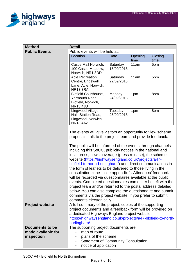

| <b>Method</b>                                | <b>Detail</b>                                                                                                                                                                                                                                                                                                                                                                                                                                                                                                                                                                                                                                                                                                                                                                                                              |                        |         |         |  |  |
|----------------------------------------------|----------------------------------------------------------------------------------------------------------------------------------------------------------------------------------------------------------------------------------------------------------------------------------------------------------------------------------------------------------------------------------------------------------------------------------------------------------------------------------------------------------------------------------------------------------------------------------------------------------------------------------------------------------------------------------------------------------------------------------------------------------------------------------------------------------------------------|------------------------|---------|---------|--|--|
| <b>Public Events</b>                         | Public events will be held at:                                                                                                                                                                                                                                                                                                                                                                                                                                                                                                                                                                                                                                                                                                                                                                                             |                        |         |         |  |  |
|                                              | Location                                                                                                                                                                                                                                                                                                                                                                                                                                                                                                                                                                                                                                                                                                                                                                                                                   | <b>Date</b>            | Opening | Closing |  |  |
|                                              |                                                                                                                                                                                                                                                                                                                                                                                                                                                                                                                                                                                                                                                                                                                                                                                                                            |                        | time    | time    |  |  |
|                                              | Castle Mall Norwich,                                                                                                                                                                                                                                                                                                                                                                                                                                                                                                                                                                                                                                                                                                                                                                                                       | Saturday<br>15/09/2018 | 11am    | 5pm     |  |  |
|                                              | 100 Castle Meadow,<br>Norwich, NR1 3DD                                                                                                                                                                                                                                                                                                                                                                                                                                                                                                                                                                                                                                                                                                                                                                                     |                        |         |         |  |  |
|                                              | <b>Acle Recreation</b>                                                                                                                                                                                                                                                                                                                                                                                                                                                                                                                                                                                                                                                                                                                                                                                                     | Saturday               | 11am    | 5pm     |  |  |
|                                              | Centre, Bridewell                                                                                                                                                                                                                                                                                                                                                                                                                                                                                                                                                                                                                                                                                                                                                                                                          | 22/09/2018             |         |         |  |  |
|                                              | Lane, Acle, Norwich,                                                                                                                                                                                                                                                                                                                                                                                                                                                                                                                                                                                                                                                                                                                                                                                                       |                        |         |         |  |  |
|                                              | <b>NR133RA</b>                                                                                                                                                                                                                                                                                                                                                                                                                                                                                                                                                                                                                                                                                                                                                                                                             |                        |         |         |  |  |
|                                              | <b>Blofield Courthouse,</b><br>Yarmouth Road,                                                                                                                                                                                                                                                                                                                                                                                                                                                                                                                                                                                                                                                                                                                                                                              | Monday<br>24/09/2018   | 1pm     | 8pm     |  |  |
|                                              | Blofield, Norwich,                                                                                                                                                                                                                                                                                                                                                                                                                                                                                                                                                                                                                                                                                                                                                                                                         |                        |         |         |  |  |
|                                              | <b>NR13 4JU</b>                                                                                                                                                                                                                                                                                                                                                                                                                                                                                                                                                                                                                                                                                                                                                                                                            |                        |         |         |  |  |
|                                              | Lingwood Village                                                                                                                                                                                                                                                                                                                                                                                                                                                                                                                                                                                                                                                                                                                                                                                                           | Tuesday                | 1pm     | 8pm     |  |  |
|                                              | Hall, Station Road,                                                                                                                                                                                                                                                                                                                                                                                                                                                                                                                                                                                                                                                                                                                                                                                                        | 25/09/2018             |         |         |  |  |
|                                              | Lingwood, Norwich,<br>NR134AZ                                                                                                                                                                                                                                                                                                                                                                                                                                                                                                                                                                                                                                                                                                                                                                                              |                        |         |         |  |  |
|                                              |                                                                                                                                                                                                                                                                                                                                                                                                                                                                                                                                                                                                                                                                                                                                                                                                                            |                        |         |         |  |  |
|                                              |                                                                                                                                                                                                                                                                                                                                                                                                                                                                                                                                                                                                                                                                                                                                                                                                                            |                        |         |         |  |  |
|                                              | The events will give visitors an opportunity to view scheme<br>proposals, talk to the project team and provide feedback.<br>The public will be informed of the events through channels<br>including this SoCC, publicity notices in the national and<br>local press, news coverage (press release), the scheme<br>website (https://highwaysengland.co.uk/projects/a47-<br>blofield-to-north-burlingham/) and direct communications in<br>the form of leaflets to be delivered to those living in the<br>consultation zone - see appendix 1. Attendees' feedback<br>will be recorded via questionnaires available at the public<br>events. Completed questionnaires can either be left with the<br>project team and/or returned to the postal address detailed<br>below. You can also complete the questionnaire and submit |                        |         |         |  |  |
|                                              |                                                                                                                                                                                                                                                                                                                                                                                                                                                                                                                                                                                                                                                                                                                                                                                                                            |                        |         |         |  |  |
|                                              |                                                                                                                                                                                                                                                                                                                                                                                                                                                                                                                                                                                                                                                                                                                                                                                                                            |                        |         |         |  |  |
|                                              |                                                                                                                                                                                                                                                                                                                                                                                                                                                                                                                                                                                                                                                                                                                                                                                                                            |                        |         |         |  |  |
|                                              |                                                                                                                                                                                                                                                                                                                                                                                                                                                                                                                                                                                                                                                                                                                                                                                                                            |                        |         |         |  |  |
|                                              |                                                                                                                                                                                                                                                                                                                                                                                                                                                                                                                                                                                                                                                                                                                                                                                                                            |                        |         |         |  |  |
|                                              |                                                                                                                                                                                                                                                                                                                                                                                                                                                                                                                                                                                                                                                                                                                                                                                                                            |                        |         |         |  |  |
|                                              |                                                                                                                                                                                                                                                                                                                                                                                                                                                                                                                                                                                                                                                                                                                                                                                                                            |                        |         |         |  |  |
|                                              |                                                                                                                                                                                                                                                                                                                                                                                                                                                                                                                                                                                                                                                                                                                                                                                                                            |                        |         |         |  |  |
|                                              |                                                                                                                                                                                                                                                                                                                                                                                                                                                                                                                                                                                                                                                                                                                                                                                                                            |                        |         |         |  |  |
|                                              |                                                                                                                                                                                                                                                                                                                                                                                                                                                                                                                                                                                                                                                                                                                                                                                                                            |                        |         |         |  |  |
|                                              |                                                                                                                                                                                                                                                                                                                                                                                                                                                                                                                                                                                                                                                                                                                                                                                                                            |                        |         |         |  |  |
|                                              | comments via the project website, if you prefer to submit                                                                                                                                                                                                                                                                                                                                                                                                                                                                                                                                                                                                                                                                                                                                                                  |                        |         |         |  |  |
|                                              | comments electronically.                                                                                                                                                                                                                                                                                                                                                                                                                                                                                                                                                                                                                                                                                                                                                                                                   |                        |         |         |  |  |
| <b>Project website</b>                       | A full summary of the project, copies of the supporting                                                                                                                                                                                                                                                                                                                                                                                                                                                                                                                                                                                                                                                                                                                                                                    |                        |         |         |  |  |
|                                              | project documents and a feedback form will be provided on                                                                                                                                                                                                                                                                                                                                                                                                                                                                                                                                                                                                                                                                                                                                                                  |                        |         |         |  |  |
|                                              | a dedicated Highways England project website:                                                                                                                                                                                                                                                                                                                                                                                                                                                                                                                                                                                                                                                                                                                                                                              |                        |         |         |  |  |
|                                              | https://highwaysengland.co.uk/projects/a47-blofield-to-north-                                                                                                                                                                                                                                                                                                                                                                                                                                                                                                                                                                                                                                                                                                                                                              |                        |         |         |  |  |
|                                              | burlingham/                                                                                                                                                                                                                                                                                                                                                                                                                                                                                                                                                                                                                                                                                                                                                                                                                |                        |         |         |  |  |
| <b>Documents to be</b><br>made available for | The supporting project documents are:                                                                                                                                                                                                                                                                                                                                                                                                                                                                                                                                                                                                                                                                                                                                                                                      |                        |         |         |  |  |
| inspection                                   | map of route<br>plans of the scheme                                                                                                                                                                                                                                                                                                                                                                                                                                                                                                                                                                                                                                                                                                                                                                                        |                        |         |         |  |  |
|                                              | <b>Statement of Community Consultation</b>                                                                                                                                                                                                                                                                                                                                                                                                                                                                                                                                                                                                                                                                                                                                                                                 |                        |         |         |  |  |
|                                              | notice of application                                                                                                                                                                                                                                                                                                                                                                                                                                                                                                                                                                                                                                                                                                                                                                                                      |                        |         |         |  |  |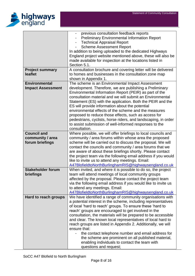

|                          | previous consultation feedback reports                                                                                 |  |  |  |
|--------------------------|------------------------------------------------------------------------------------------------------------------------|--|--|--|
|                          | <b>Preliminary Environmental Information Report</b>                                                                    |  |  |  |
|                          | <b>Technical Appraisal Report</b>                                                                                      |  |  |  |
|                          | <b>Scheme Assessment Report</b>                                                                                        |  |  |  |
|                          | In addition to being uploaded to the dedicated Highways                                                                |  |  |  |
|                          | England project website mentioned above, these will also be                                                            |  |  |  |
|                          | made available for inspection at the locations listed in                                                               |  |  |  |
|                          | Section 5.1.                                                                                                           |  |  |  |
| <b>Project summary</b>   | A consultation brochure and covering letter will be delivered                                                          |  |  |  |
| leaflet                  | to homes and businesses in the consultation zone map                                                                   |  |  |  |
|                          | shown in Appendix 1.                                                                                                   |  |  |  |
| <b>Environmental</b>     | The scheme is an Environmental Impact Assessment                                                                       |  |  |  |
| <b>Impact Assessment</b> | development. Therefore, we are publishing a Preliminary                                                                |  |  |  |
|                          | Environmental Information Report (PEIR) as part of the                                                                 |  |  |  |
|                          | consultation material and we will submit an Environmental                                                              |  |  |  |
|                          | Statement (ES) with the application. Both the PEIR and the                                                             |  |  |  |
|                          | ES will provide information about the potential                                                                        |  |  |  |
|                          | environmental effects of the scheme and the measures                                                                   |  |  |  |
|                          | proposed to reduce those effects, such as access for<br>pedestrians, cyclists, horse riders, and landscaping, in order |  |  |  |
|                          | to assist submission of well-informed responses to the                                                                 |  |  |  |
|                          | consultation.                                                                                                          |  |  |  |
| <b>Council and</b>       | Where possible, we will offer briefings to local councils and                                                          |  |  |  |
| community / area         | community / area forums within whose area the proposed                                                                 |  |  |  |
| forum briefings          | scheme will be carried out to discuss the proposal. We will                                                            |  |  |  |
|                          | contact the councils and community / area forums that we                                                               |  |  |  |
|                          | are aware of about these briefings shortly. Please contact                                                             |  |  |  |
|                          | the project team via the following email address if you would                                                          |  |  |  |
|                          | like to invite us to attend any meetings. Email:                                                                       |  |  |  |
|                          | A47BlofieldtoNorthBurlinghamRIS@highwaysengland.co.uk                                                                  |  |  |  |
| <b>Stakeholder forum</b> | When invited, and where it is possible to do so, the project                                                           |  |  |  |
| briefings                | team will attend meetings of local community groups                                                                    |  |  |  |
|                          | affected by the proposal. Please contact the project team                                                              |  |  |  |
|                          | via the following email address if you would like to invite us                                                         |  |  |  |
|                          | to attend any meetings. Email:                                                                                         |  |  |  |
|                          | A47BlofieldtoNorthBurlinghamRIS@highwaysengland.co.uk                                                                  |  |  |  |
| Hard to reach groups     | We have identified a range of community organisations with                                                             |  |  |  |
|                          | a potential interest in the scheme, including representatives                                                          |  |  |  |
|                          | of local 'hard to reach' groups. To ensure these 'hard to                                                              |  |  |  |
|                          | reach' groups are encouraged to get involved in the                                                                    |  |  |  |
|                          | consultation, the materials will be prepared to be accessible                                                          |  |  |  |
|                          | and clear. The known local representatives of local hard to                                                            |  |  |  |
|                          | reach groups are listed in Appendix 2. Additionally, we will                                                           |  |  |  |
|                          | ensure that:                                                                                                           |  |  |  |
|                          | the contact telephone number and email address for                                                                     |  |  |  |
|                          | the scheme are prominent on all published material,                                                                    |  |  |  |
|                          | enabling individuals to contact the team with                                                                          |  |  |  |
|                          | questions and request;                                                                                                 |  |  |  |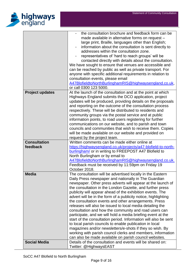

| made available in alternative forms on request -<br>large print, Braille, languages other than English;<br>information about the consultation is sent directly to<br>addresses within the consultation zone.<br>representatives of 'hard to reach groups' will be<br>contacted directly with details about the consultation.<br>We have sought to ensure that venues are accessible and<br>can be reached by public as well as private transport. For<br>anyone with specific additional requirements in relation to<br>consultation events, please email<br>A47BlofieldtoNorthBurlinghamRIS@highwaysengland.co.uk,<br>or call 0300 123 5000.<br><b>Project updates</b><br>At the launch of the consultation and at the point at which<br>Highways England submits the DCO application, project<br>updates will be produced, providing details on the proposals<br>and reporting on the outcome of the consultation process |
|-----------------------------------------------------------------------------------------------------------------------------------------------------------------------------------------------------------------------------------------------------------------------------------------------------------------------------------------------------------------------------------------------------------------------------------------------------------------------------------------------------------------------------------------------------------------------------------------------------------------------------------------------------------------------------------------------------------------------------------------------------------------------------------------------------------------------------------------------------------------------------------------------------------------------------|
|                                                                                                                                                                                                                                                                                                                                                                                                                                                                                                                                                                                                                                                                                                                                                                                                                                                                                                                             |
|                                                                                                                                                                                                                                                                                                                                                                                                                                                                                                                                                                                                                                                                                                                                                                                                                                                                                                                             |
|                                                                                                                                                                                                                                                                                                                                                                                                                                                                                                                                                                                                                                                                                                                                                                                                                                                                                                                             |
|                                                                                                                                                                                                                                                                                                                                                                                                                                                                                                                                                                                                                                                                                                                                                                                                                                                                                                                             |
|                                                                                                                                                                                                                                                                                                                                                                                                                                                                                                                                                                                                                                                                                                                                                                                                                                                                                                                             |
|                                                                                                                                                                                                                                                                                                                                                                                                                                                                                                                                                                                                                                                                                                                                                                                                                                                                                                                             |
|                                                                                                                                                                                                                                                                                                                                                                                                                                                                                                                                                                                                                                                                                                                                                                                                                                                                                                                             |
|                                                                                                                                                                                                                                                                                                                                                                                                                                                                                                                                                                                                                                                                                                                                                                                                                                                                                                                             |
|                                                                                                                                                                                                                                                                                                                                                                                                                                                                                                                                                                                                                                                                                                                                                                                                                                                                                                                             |
|                                                                                                                                                                                                                                                                                                                                                                                                                                                                                                                                                                                                                                                                                                                                                                                                                                                                                                                             |
|                                                                                                                                                                                                                                                                                                                                                                                                                                                                                                                                                                                                                                                                                                                                                                                                                                                                                                                             |
|                                                                                                                                                                                                                                                                                                                                                                                                                                                                                                                                                                                                                                                                                                                                                                                                                                                                                                                             |
|                                                                                                                                                                                                                                                                                                                                                                                                                                                                                                                                                                                                                                                                                                                                                                                                                                                                                                                             |
|                                                                                                                                                                                                                                                                                                                                                                                                                                                                                                                                                                                                                                                                                                                                                                                                                                                                                                                             |
|                                                                                                                                                                                                                                                                                                                                                                                                                                                                                                                                                                                                                                                                                                                                                                                                                                                                                                                             |
|                                                                                                                                                                                                                                                                                                                                                                                                                                                                                                                                                                                                                                                                                                                                                                                                                                                                                                                             |
|                                                                                                                                                                                                                                                                                                                                                                                                                                                                                                                                                                                                                                                                                                                                                                                                                                                                                                                             |
| respectively. These will be distributed to residents and                                                                                                                                                                                                                                                                                                                                                                                                                                                                                                                                                                                                                                                                                                                                                                                                                                                                    |
| community groups via the postal service and at public                                                                                                                                                                                                                                                                                                                                                                                                                                                                                                                                                                                                                                                                                                                                                                                                                                                                       |
| information points, to road users registering for further                                                                                                                                                                                                                                                                                                                                                                                                                                                                                                                                                                                                                                                                                                                                                                                                                                                                   |
| communications on our website, and to parish and town                                                                                                                                                                                                                                                                                                                                                                                                                                                                                                                                                                                                                                                                                                                                                                                                                                                                       |
| councils and communities that wish to receive them. Copies                                                                                                                                                                                                                                                                                                                                                                                                                                                                                                                                                                                                                                                                                                                                                                                                                                                                  |
| will be made available on our website and provided on                                                                                                                                                                                                                                                                                                                                                                                                                                                                                                                                                                                                                                                                                                                                                                                                                                                                       |
| request by the project team.                                                                                                                                                                                                                                                                                                                                                                                                                                                                                                                                                                                                                                                                                                                                                                                                                                                                                                |
| <b>Consultation</b><br>Written comments can be made either online at                                                                                                                                                                                                                                                                                                                                                                                                                                                                                                                                                                                                                                                                                                                                                                                                                                                        |
| feedback<br>https://highwaysengland.co.uk/projects/a47-blofield-to-north-                                                                                                                                                                                                                                                                                                                                                                                                                                                                                                                                                                                                                                                                                                                                                                                                                                                   |
| burlingham/ or in writing to FREEPOST A47 Blofield to                                                                                                                                                                                                                                                                                                                                                                                                                                                                                                                                                                                                                                                                                                                                                                                                                                                                       |
| North Burlingham or by email to                                                                                                                                                                                                                                                                                                                                                                                                                                                                                                                                                                                                                                                                                                                                                                                                                                                                                             |
| A47BlofieldtoNorthBurlinghamRIS@highwaysengland.co.uk.                                                                                                                                                                                                                                                                                                                                                                                                                                                                                                                                                                                                                                                                                                                                                                                                                                                                      |
| Feedback must be received by 11:59pm on Friday 19                                                                                                                                                                                                                                                                                                                                                                                                                                                                                                                                                                                                                                                                                                                                                                                                                                                                           |
| October 2018.                                                                                                                                                                                                                                                                                                                                                                                                                                                                                                                                                                                                                                                                                                                                                                                                                                                                                                               |
| <b>Media</b><br>The consultation will be advertised locally in the Eastern                                                                                                                                                                                                                                                                                                                                                                                                                                                                                                                                                                                                                                                                                                                                                                                                                                                  |
| Daily Press newspaper and nationally in The Guardian                                                                                                                                                                                                                                                                                                                                                                                                                                                                                                                                                                                                                                                                                                                                                                                                                                                                        |
|                                                                                                                                                                                                                                                                                                                                                                                                                                                                                                                                                                                                                                                                                                                                                                                                                                                                                                                             |
| newspaper. Other press adverts will appear at the launch of                                                                                                                                                                                                                                                                                                                                                                                                                                                                                                                                                                                                                                                                                                                                                                                                                                                                 |
| the consultation in the London Gazette, and further press                                                                                                                                                                                                                                                                                                                                                                                                                                                                                                                                                                                                                                                                                                                                                                                                                                                                   |
| publicity will appear ahead of the exhibition events. The                                                                                                                                                                                                                                                                                                                                                                                                                                                                                                                                                                                                                                                                                                                                                                                                                                                                   |
| advert will be in the form of a publicity notice, highlighting                                                                                                                                                                                                                                                                                                                                                                                                                                                                                                                                                                                                                                                                                                                                                                                                                                                              |
| the consultation events and other arrangements. Press                                                                                                                                                                                                                                                                                                                                                                                                                                                                                                                                                                                                                                                                                                                                                                                                                                                                       |
| releases will also be issued to local media detailing the                                                                                                                                                                                                                                                                                                                                                                                                                                                                                                                                                                                                                                                                                                                                                                                                                                                                   |
| consultation and how the community and road users can                                                                                                                                                                                                                                                                                                                                                                                                                                                                                                                                                                                                                                                                                                                                                                                                                                                                       |
| participate, and we will hold a media briefing event at the                                                                                                                                                                                                                                                                                                                                                                                                                                                                                                                                                                                                                                                                                                                                                                                                                                                                 |
| start of the consultation period. Information will also be sent                                                                                                                                                                                                                                                                                                                                                                                                                                                                                                                                                                                                                                                                                                                                                                                                                                                             |
| to local parish councils to enable publication in local                                                                                                                                                                                                                                                                                                                                                                                                                                                                                                                                                                                                                                                                                                                                                                                                                                                                     |
| magazines and/or newsletters/e-shots if they so wish. By                                                                                                                                                                                                                                                                                                                                                                                                                                                                                                                                                                                                                                                                                                                                                                                                                                                                    |
| working with parish council clerks and members, information                                                                                                                                                                                                                                                                                                                                                                                                                                                                                                                                                                                                                                                                                                                                                                                                                                                                 |
| can also be made available on parish council websites.                                                                                                                                                                                                                                                                                                                                                                                                                                                                                                                                                                                                                                                                                                                                                                                                                                                                      |
| <b>Social Media</b><br>Details of the consultation and events will be shared on:                                                                                                                                                                                                                                                                                                                                                                                                                                                                                                                                                                                                                                                                                                                                                                                                                                            |
| Twitter: @HighwaysEAST                                                                                                                                                                                                                                                                                                                                                                                                                                                                                                                                                                                                                                                                                                                                                                                                                                                                                                      |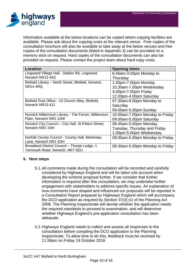

Information available at the below locations can be copied where copying facilities are available. Please ask about the copying costs at the relevant venue. Free copies of the consultation brochure will also be available to take away at the below venues and free copies of the consultation documents (listed in Appendix 3) can be provided on a memory stick on request. Hard copies of the consultation documents can also be provided on request. Please contact the project team about hard copy costs.

| <b>Location</b>                                     | <b>Opening times</b>            |
|-----------------------------------------------------|---------------------------------|
| Lingwood Village Hall - Station Rd, Lingwood,       | 8.45am-3.00pm Monday to         |
| Norwich NR13 4AZ                                    | Thursday                        |
| Blofield Library - North Street, Blofield, Norwich, | 1.00pm-7.00pm Monday            |
| <b>NR14 4RQ</b>                                     | 10.30am-7.00pm Wednesday        |
|                                                     | 4.00pm-7.00pm Friday            |
|                                                     | 12.00pm-4.00pm Saturday         |
| Blofield Post Office - 10 Church Alley, Blofield,   | 07.30am-8.00pm Monday to        |
| Norwich NR13 4JJ                                    | Saturday                        |
|                                                     | 09.00am-5.00pm Sunday           |
| Norwich Millennium Library - The Forum, Millennium  | 10.00am-7.00pm Monday to Friday |
| Plain, Norwich NR2 1AW                              | 09.00am-5.00pm Saturday         |
| Norwich City Council - City Hall, St Peters Street, | 08.45am-5.00pm Monday,          |
| Norwich NR2 1NH                                     | Tuesday, Thursday and Friday    |
|                                                     | 1.00pm-5.00pm Wednesday         |
| Norfolk County Council - County Hall, Martineau     | 09.00am-5.00pm Monday to Friday |
| Lane, Norwich NR1 2DH                               |                                 |
| Broadland District Council - Thorpe Lodge, 1        | 08.30am-5.00pm Monday to Friday |
| Yarmouth Road, Norwich, NR7 0DU                     |                                 |

# **5. Next steps**

- 5.1.All comments made during the consultation will be recorded and carefully considered by Highways England and will be taken into account when developing the scheme proposal further. If we consider that further information is required after this consultation, we may undertake further engagement with stakeholders to address specific issues. An explanation of how comments have shaped and influenced our proposals will be reported in a Consultation Report prepared by Highways England which will accompany the DCO application as required by Section 37(3) (c) of the Planning Act 2008. The Planning Inspectorate will decide whether the application meets the required standards to proceed to examination, and will determine whether Highways England's pre-application consultation has been adequate.
- 5.2.Highways England needs to collect and assess all responses to the consultation before compiling the DCO application to the Planning Inspectorate. To allow time to do this, feedback must be received by 11:59pm on Friday 19 October 2018.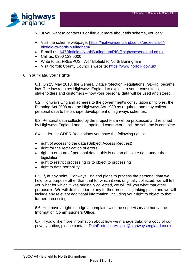

5.3.If you want to contact us or find out more about this scheme, you can:

- Visit the scheme webpage: https://highwaysengland.co.uk/projects/a47 blofield-to-north-burlingham/
- E-mail us: [A47BlofieldtoNorthBurlinghamRIS@highwaysengland.co.uk](mailto:A47BlofieldtoNorthBurlinghamRIS@highwaysengland.co.uk)
- Call us: 0300 123 5000
- Write to us: FREEPOST A47 Blofield to North Burlingham
- Visit Norfolk County Council's website:<https://www.norfolk.gov.uk/>

#### **6. Your data, your rights**

6.1. On 25 May 2018, the General Data Protection Regulations (GDPR) became law. The law requires Highways England to explain to you – consultees, stakeholders and customers – how your personal data will be used and stored.

6.2. Highways England adheres to the government's consultation principles, the Planning Act 2008 and the Highways Act 1980 as required, and may collect personal data to help shape development of highways schemes.

6.3. Personal data collected by the project team will be processed and retained by Highways England and its appointed contractors until the scheme is complete.

6.4 Under the GDPR Regulations you have the following rights:

- right of access to the data (Subject Access Request)
- right for the rectification of errors
- right to erasure of personal data this is not an absolute right under the legislation
- right to restrict processing or to object to processing
- right to data portability

6.5. If, at any point, Highways England plans to process the personal data we hold for a purpose other than that for which it was originally collected, we will tell you what for which it was originally collected, we will tell you what that other purpose is. We will do this prior to any further processing taking place and we will include any relevant additional information, including your right to object to that further processing.

6.6. You have a right to lodge a complaint with the supervisory authority, the Information Commissioners Office.

6.7. If you'd like more information about how we manage data, or a copy of our privacy notice, please contact: [DataProtectionAdvice@highwaysengland.co.uk](mailto:DataProtectionAdvice@highwaysengland.co.uk)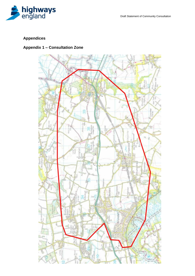

# **Appendices**

# **Appendix 1 – Consultation Zone**

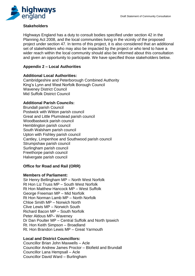

# **Stakeholders**

Highways England has a duty to consult bodies specified under section 42 in the Planning Act 2008, and the local communities living in the vicinity of the proposed project under section 47. In terms of this project, it is also considered that an additional set of stakeholders who may also be impacted by the project or who tend to have a wider reach within the local community should also be informed about this consultation and given an opportunity to participate. We have specified those stakeholders below.

# **Appendix 2 – Local Authorities**

### **Additional Local Authorities:**

Cambridgeshire and Peterborough Combined Authority King's Lynn and West Norfolk Borough Council Waveney District Council Mid Suffolk District Council

# **Additional Parish Councils:**

Brundall parish Council Postwick with Witton parish council Great and Little Plumstead parish council Woodbastwick parish council Hemblington parish council South Walsham parish council Upton with Fishley parish council Cantley, Limpenhoe and Southwood parish council Strumpshaw parish council Surlingham parish council Freethorpe parish council Halvergate parish council

# **Office for Road and Rail (ORR)**

#### **Members of Parliament:**

Sir Henry Bellingham MP – North West Norfolk Rt Hon Liz Truss MP – South West Norfolk Rt Hon Matthew Hancock MP – West Suffolk George Freeman MP – Mid Norfolk Rt Hon Norman Lamb MP – North Norfolk Chloe Smith MP – Norwich North Clive Lewis MP – Norwich South Richard Bacon MP – South Norfolk Peter Aldous MP– Waveney Dr Dan Poulter MP – Central Suffolk and North Ipswich Rt. Hon Keith Simpson – Broadland Rt. Hon Brandon Lewis MP – Great Yarmouth

# **Local and District Councillors:**

Councillor Brian John Maxwells – Acle Councillor Andrew James Proctor – Blofield and Brundall Councillor Lana Hempsall – Acle Councillor David Ward – Burlingham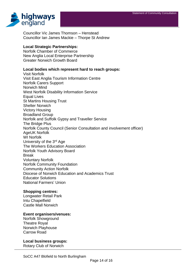

Councillor Vic James Thomson – Henstead Councillor Ian James Mackie – Thorpe St Andrew

#### **Local Strategic Partnerships:**

Norfolk Chamber of Commerce New Anglia Local Enterprise Partnership Greater Norwich Growth Board

#### **Local bodies which represent hard to reach groups:**

Visit Norfolk Visit East Anglia Tourism Information Centre Norfolk Carers Support Norwich Mind West Norfolk Disability Information Service Equal Lives St Martins Housing Trust Shelter Norwich Victory Housing Broadland Group Norfolk and Suffolk Gypsy and Traveller Service The Bridge Plus Norfolk County Council (Senior Consultation and involvement officer) AgeUK Norfolk WI Norfolk University of the 3<sup>rd</sup> Age The Workers Education Association Norfolk Youth Advisory Board Break Voluntary Norfolk Norfolk Community Foundation Community Action Norfolk Diocese of Norwich Education and Academics Trust Educator Solutions National Farmers' Union

#### **Shopping centres:**

Longwater Retail Park Intu Chapelfield Castle Mall Norwich

#### **Event organisers/venues:**

Norfolk Showground Theatre Royal Norwich Playhouse Carrow Road

**Local business groups:** Rotary Club of Norwich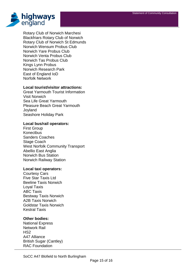

Rotary Club of Norwich Marchesi Blackfriars Rotary Club of Norwich Rotary Club of Norwich St Edmunds Norwich Wensum Probus Club Norwich Yare Probus Club Norwich Venta Probus Club Norwich Tas Probus Club Kings Lynn Probus Norwich Research Park East of England IoD Norfolk Network

#### **Local tourist/visitor attractions:**

Great Yarmouth Tourist Information Visit Norwich Sea Life Great Yarmouth Pleasure Beach Great Yarmouth **Joyland** Seashore Holiday Park

#### **Local bus/rail operators:**

First Group **Konectbus** Sanders Coaches Stage Coach West Norfolk Community Transport Abellio East Anglia Norwich Bus Station Norwich Railway Station

#### **Local taxi operators:**

Courtesy Cars Five Star Taxis Ltd Beeline Taxis Norwich Loyal Taxis ABC Taxis Bestway Taxis Norwich A2B Taxis Norwich Goldstar Taxis Norwich Kestral Taxis

#### **Other bodies:**

National Express Network Rail HS2 A47 Alliance British Sugar (Cantley) RAC Foundation